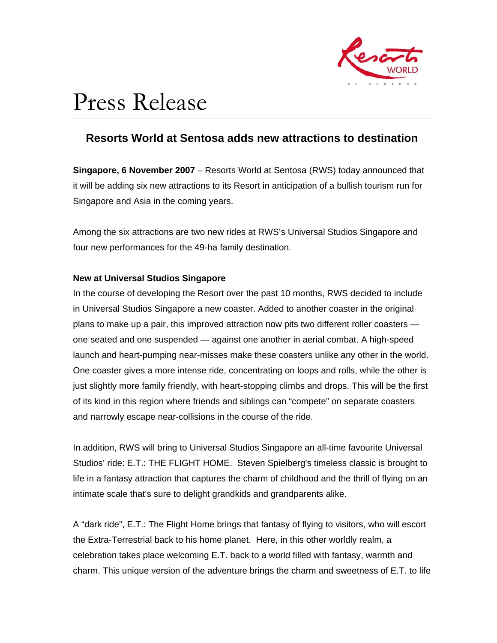

# Press Release

# **Resorts World at Sentosa adds new attractions to destination**

**Singapore, 6 November 2007** – Resorts World at Sentosa (RWS) today announced that it will be adding six new attractions to its Resort in anticipation of a bullish tourism run for Singapore and Asia in the coming years.

Among the six attractions are two new rides at RWS's Universal Studios Singapore and four new performances for the 49-ha family destination.

# **New at Universal Studios Singapore**

In the course of developing the Resort over the past 10 months, RWS decided to include in Universal Studios Singapore a new coaster. Added to another coaster in the original plans to make up a pair, this improved attraction now pits two different roller coasters one seated and one suspended — against one another in aerial combat. A high-speed launch and heart-pumping near-misses make these coasters unlike any other in the world. One coaster gives a more intense ride, concentrating on loops and rolls, while the other is just slightly more family friendly, with heart-stopping climbs and drops. This will be the first of its kind in this region where friends and siblings can "compete" on separate coasters and narrowly escape near-collisions in the course of the ride.

In addition, RWS will bring to Universal Studios Singapore an all-time favourite Universal Studios' ride: E.T.: THE FLIGHT HOME. Steven Spielberg's timeless classic is brought to life in a fantasy attraction that captures the charm of childhood and the thrill of flying on an intimate scale that's sure to delight grandkids and grandparents alike.

A "dark ride", E.T.: The Flight Home brings that fantasy of flying to visitors, who will escort the Extra-Terrestrial back to his home planet. Here, in this other worldly realm, a celebration takes place welcoming E.T. back to a world filled with fantasy, warmth and charm. This unique version of the adventure brings the charm and sweetness of E.T. to life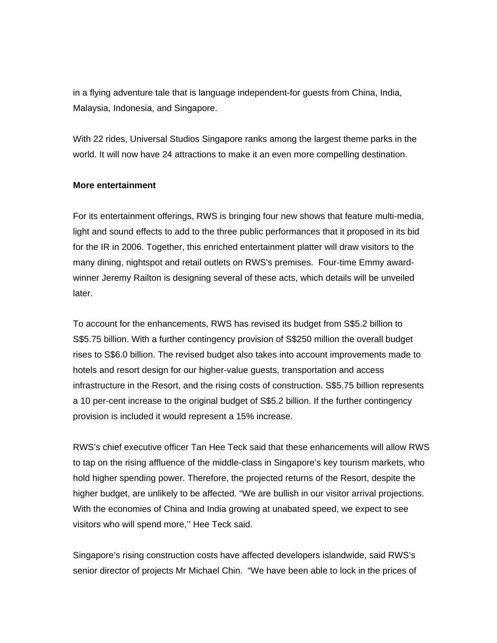in a flying adventure tale that is language independent-for guests from China, India, Malaysia, Indonesia, and Singapore.

With 22 rides, Universal Studios Singapore ranks among the largest theme parks in the world. It will now have 24 attractions to make it an even more compelling destination.

## **More entertainment**

For its entertainment offerings, RWS is bringing four new shows that feature multi-media, light and sound effects to add to the three public performances that it proposed in its bid for the IR in 2006. Together, this enriched entertainment platter will draw visitors to the many dining, nightspot and retail outlets on RWS's premises. Four-time Emmy awardwinner Jeremy Railton is designing several of these acts, which details will be unveiled later.

To account for the enhancements, RWS has revised its budget from S\$5.2 billion to S\$5.75 billion. With a further contingency provision of S\$250 million the overall budget rises to S\$6.0 billion. The revised budget also takes into account improvements made to hotels and resort design for our higher-value guests, transportation and access infrastructure in the Resort, and the rising costs of construction. S\$5.75 billion represents a 10 per-cent increase to the original budget of S\$5.2 billion. If the further contingency provision is included it would represent a 15% increase.

RWS's chief executive officer Tan Hee Teck said that these enhancements will allow RWS to tap on the rising affluence of the middle-class in Singapore's key tourism markets, who hold higher spending power. Therefore, the projected returns of the Resort, despite the higher budget, are unlikely to be affected. "We are bullish in our visitor arrival projections. With the economies of China and India growing at unabated speed, we expect to see visitors who will spend more,'' Hee Teck said.

Singapore's rising construction costs have affected developers islandwide, said RWS's senior director of projects Mr Michael Chin. "We have been able to lock in the prices of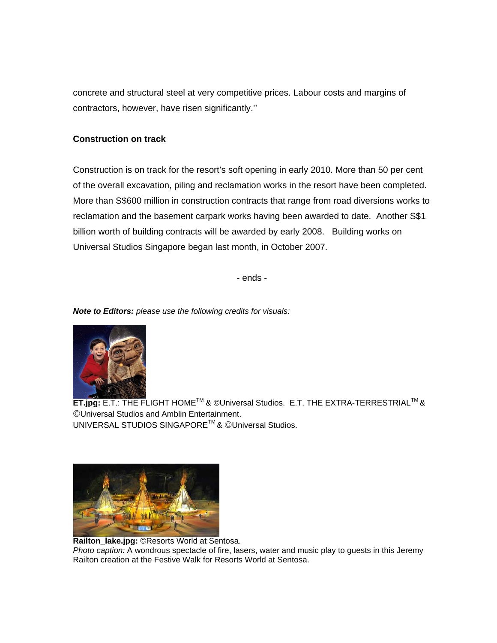concrete and structural steel at very competitive prices. Labour costs and margins of contractors, however, have risen significantly.''

# **Construction on track**

Construction is on track for the resort's soft opening in early 2010. More than 50 per cent of the overall excavation, piling and reclamation works in the resort have been completed. More than S\$600 million in construction contracts that range from road diversions works to reclamation and the basement carpark works having been awarded to date. Another S\$1 billion worth of building contracts will be awarded by early 2008. Building works on Universal Studios Singapore began last month, in October 2007.

- ends -

*Note to Editors: please use the following credits for visuals:* 



**ET.jpg:** E.T.: THE FLIGHT HOMETM & ©Universal Studios. E.T. THE EXTRA-TERRESTRIALTM & ©Universal Studios and Amblin Entertainment. UNIVERSAL STUDIOS SINGAPORETM & ©Universal Studios.



**Railton\_lake.jpg:** ©Resorts World at Sentosa. *Photo caption:* A wondrous spectacle of fire, lasers, water and music play to guests in this Jeremy Railton creation at the Festive Walk for Resorts World at Sentosa.